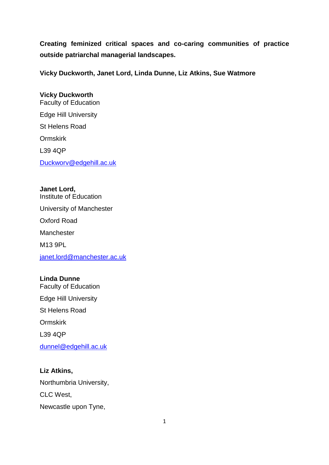## **Creating feminized critical spaces and co-caring communities of practice outside patriarchal managerial landscapes.**

**Vicky Duckworth, Janet Lord, Linda Dunne, Liz Atkins, Sue Watmore**

**Vicky Duckworth** Faculty of Education Edge Hill University St Helens Road Ormskirk L39 4QP [Duckworv@edgehill.ac.uk](mailto:Duckworv@edgehill.ac.uk)

**Janet Lord,** Institute of Education University of Manchester Oxford Road **Manchester** M13 9PL [janet.lord@manchester.ac.uk](mailto:janet.lord@manchester.ac.uk)

**Linda Dunne** Faculty of Education Edge Hill University St Helens Road Ormskirk L39 4QP [dunnel@edgehill.ac.uk](mailto:dunnel@edgehill.ac.uk)

# **Liz Atkins,** Northumbria University, CLC West, Newcastle upon Tyne,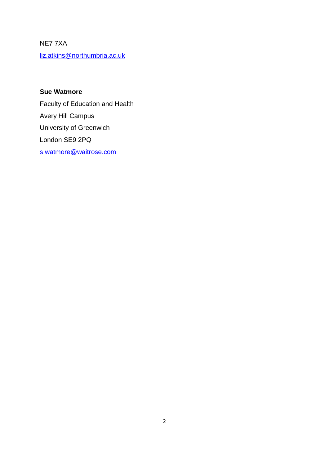#### NE7 7XA

[liz.atkins@northumbria.ac.uk](mailto:liz.atkins@northumbria.ac.uk)

### **Sue Watmore**

Faculty of Education and Health Avery Hill Campus University of Greenwich London SE9 2PQ [s.watmore@waitrose.com](mailto:s.watmore@waitrose.com)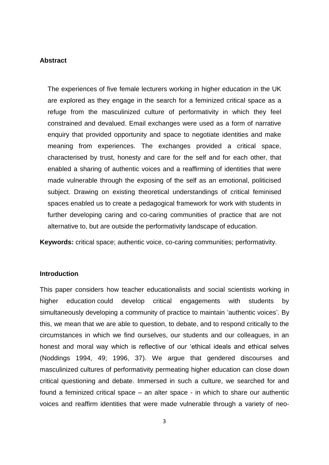#### **Abstract**

The experiences of five female lecturers working in higher education in the UK are explored as they engage in the search for a feminized critical space as a refuge from the masculinized culture of performativity in which they feel constrained and devalued. Email exchanges were used as a form of narrative enquiry that provided opportunity and space to negotiate identities and make meaning from experiences. The exchanges provided a critical space, characterised by trust, honesty and care for the self and for each other, that enabled a sharing of authentic voices and a reaffirming of identities that were made vulnerable through the exposing of the self as an emotional, politicised subject. Drawing on existing theoretical understandings of critical feminised spaces enabled us to create a pedagogical framework for work with students in further developing caring and co-caring communities of practice that are not alternative to, but are outside the performativity landscape of education.

**Keywords:** critical space; authentic voice, co-caring communities; performativity.

#### **Introduction**

This paper considers how teacher educationalists and social scientists working in higher education could develop critical engagements with students by simultaneously developing a community of practice to maintain 'authentic voices'. By this, we mean that we are able to question, to debate, and to respond critically to the circumstances in which we find ourselves, our students and our colleagues, in an honest and moral way which is reflective of our 'ethical ideals and ethical selves (Noddings 1994, 49; 1996, 37). We argue that gendered discourses and masculinized cultures of performativity permeating higher education can close down critical questioning and debate. Immersed in such a culture, we searched for and found a feminized critical space – an alter space - in which to share our authentic voices and reaffirm identities that were made vulnerable through a variety of neo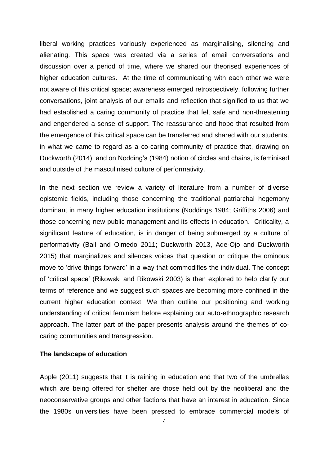liberal working practices variously experienced as marginalising, silencing and alienating. This space was created via a series of email conversations and discussion over a period of time, where we shared our theorised experiences of higher education cultures. At the time of communicating with each other we were not aware of this critical space; awareness emerged retrospectively, following further conversations, joint analysis of our emails and reflection that signified to us that we had established a caring community of practice that felt safe and non-threatening and engendered a sense of support. The reassurance and hope that resulted from the emergence of this critical space can be transferred and shared with our students, in what we came to regard as a co-caring community of practice that, drawing on Duckworth (2014), and on Nodding's (1984) notion of circles and chains, is feminised and outside of the masculinised culture of performativity.

In the next section we review a variety of literature from a number of diverse epistemic fields, including those concerning the traditional patriarchal hegemony dominant in many higher education institutions (Noddings 1984; Griffiths 2006) and those concerning new public management and its effects in education. Criticality, a significant feature of education, is in danger of being submerged by a culture of performativity (Ball and Olmedo 2011; Duckworth 2013, Ade-Ojo and Duckworth 2015) that marginalizes and silences voices that question or critique the ominous move to 'drive things forward' in a way that commodifies the individual. The concept of 'critical space' (Rikowski and Rikowski 2003) is then explored to help clarify our terms of reference and we suggest such spaces are becoming more confined in the current higher education context. We then outline our positioning and working understanding of critical feminism before explaining our auto-ethnographic research approach. The latter part of the paper presents analysis around the themes of cocaring communities and transgression.

#### **The landscape of education**

Apple (2011) suggests that it is raining in education and that two of the umbrellas which are being offered for shelter are those held out by the neoliberal and the neoconservative groups and other factions that have an interest in education. Since the 1980s universities have been pressed to embrace commercial models of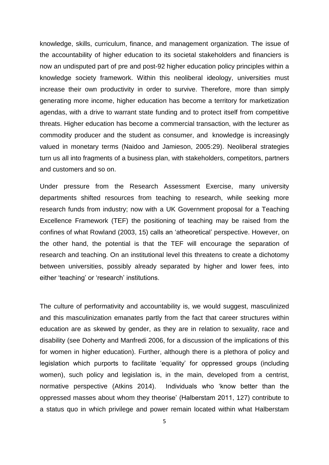knowledge, skills, curriculum, finance, and management organization. The issue of the accountability of higher education to its societal stakeholders and financiers is now an undisputed part of pre and post-92 higher education policy principles within a knowledge society framework. Within this neoliberal ideology, universities must increase their own productivity in order to survive. Therefore, more than simply generating more income, higher education has become a territory for marketization agendas, with a drive to warrant state funding and to protect itself from competitive threats. Higher education has become a commercial transaction, with the lecturer as commodity producer and the student as consumer, and knowledge is increasingly valued in monetary terms (Naidoo and Jamieson, 2005:29). Neoliberal strategies turn us all into fragments of a business plan, with stakeholders, competitors, partners and customers and so on.

Under pressure from the Research Assessment Exercise, many university departments shifted resources from teaching to research, while seeking more research funds from industry; now with a UK Government proposal for a Teaching Excellence Framework (TEF) the positioning of teaching may be raised from the confines of what Rowland (2003, 15) calls an 'atheoretical' perspective. However, on the other hand, the potential is that the TEF will encourage the separation of research and teaching. On an institutional level this threatens to create a dichotomy between universities, possibly already separated by higher and lower fees, into either 'teaching' or 'research' institutions.

The culture of performativity and accountability is, we would suggest, masculinized and this masculinization emanates partly from the fact that career structures within education are as skewed by gender, as they are in relation to sexuality, race and disability (see Doherty and Manfredi 2006, for a discussion of the implications of this for women in higher education). Further, although there is a plethora of policy and legislation which purports to facilitate 'equality' for oppressed groups (including women), such policy and legislation is, in the main, developed from a centrist, normative perspective (Atkins 2014). Individuals who 'know better than the oppressed masses about whom they theorise' (Halberstam 2011, 127) contribute to a status quo in which privilege and power remain located within what Halberstam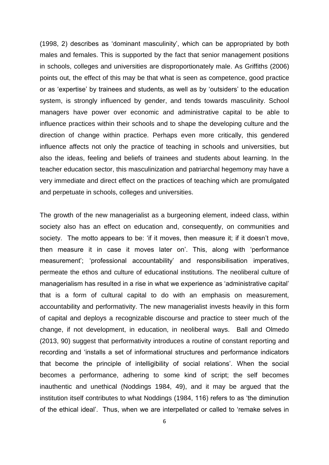(1998, 2) describes as 'dominant masculinity', which can be appropriated by both males and females. This is supported by the fact that senior management positions in schools, colleges and universities are disproportionately male. As Griffiths (2006) points out, the effect of this may be that what is seen as competence, good practice or as 'expertise' by trainees and students, as well as by 'outsiders' to the education system, is strongly influenced by gender, and tends towards masculinity. School managers have power over economic and administrative capital to be able to influence practices within their schools and to shape the developing culture and the direction of change within practice. Perhaps even more critically, this gendered influence affects not only the practice of teaching in schools and universities, but also the ideas, feeling and beliefs of trainees and students about learning. In the teacher education sector, this masculinization and patriarchal hegemony may have a very immediate and direct effect on the practices of teaching which are promulgated and perpetuate in schools, colleges and universities.

The growth of the new managerialist as a burgeoning element, indeed class, within society also has an effect on education and, consequently, on communities and society. The motto appears to be: 'if it moves, then measure it; if it doesn't move, then measure it in case it moves later on'. This, along with 'performance measurement'; 'professional accountability' and responsibilisation imperatives, permeate the ethos and culture of educational institutions. The neoliberal culture of managerialism has resulted in a rise in what we experience as 'administrative capital' that is a form of cultural capital to do with an emphasis on measurement, accountability and performativity. The new managerialist invests heavily in this form of capital and deploys a recognizable discourse and practice to steer much of the change, if not development, in education, in neoliberal ways. Ball and Olmedo (2013, 90) suggest that performativity introduces a routine of constant reporting and recording and 'installs a set of informational structures and performance indicators that become the principle of intelligibility of social relations'. When the social becomes a performance, adhering to some kind of script; the self becomes inauthentic and unethical (Noddings 1984, 49), and it may be argued that the institution itself contributes to what Noddings (1984, 116) refers to as 'the diminution of the ethical ideal'. Thus, when we are interpellated or called to 'remake selves in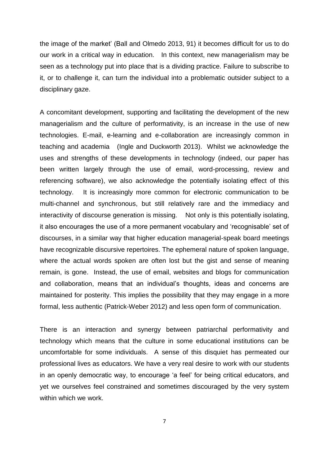the image of the market' (Ball and Olmedo 2013, 91) it becomes difficult for us to do our work in a critical way in education. In this context, new managerialism may be seen as a technology put into place that is a dividing practice. Failure to subscribe to it, or to challenge it, can turn the individual into a problematic outsider subject to a disciplinary gaze.

A concomitant development, supporting and facilitating the development of the new managerialism and the culture of performativity, is an increase in the use of new technologies. E-mail, e-learning and e-collaboration are increasingly common in teaching and academia (Ingle and Duckworth 2013). Whilst we acknowledge the uses and strengths of these developments in technology (indeed, our paper has been written largely through the use of email, word-processing, review and referencing software), we also acknowledge the potentially isolating effect of this technology. It is increasingly more common for electronic communication to be multi-channel and synchronous, but still relatively rare and the immediacy and interactivity of discourse generation is missing. Not only is this potentially isolating, it also encourages the use of a more permanent vocabulary and 'recognisable' set of discourses, in a similar way that higher education managerial-speak board meetings have recognizable discursive repertoires. The ephemeral nature of spoken language, where the actual words spoken are often lost but the gist and sense of meaning remain, is gone. Instead, the use of email, websites and blogs for communication and collaboration, means that an individual's thoughts, ideas and concerns are maintained for posterity. This implies the possibility that they may engage in a more formal, less authentic (Patrick-Weber 2012) and less open form of communication.

There is an interaction and synergy between patriarchal performativity and technology which means that the culture in some educational institutions can be uncomfortable for some individuals. A sense of this disquiet has permeated our professional lives as educators. We have a very real desire to work with our students in an openly democratic way, to encourage 'a feel' for being critical educators, and yet we ourselves feel constrained and sometimes discouraged by the very system within which we work.

7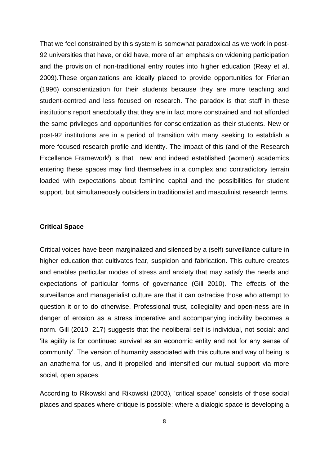That we feel constrained by this system is somewhat paradoxical as we work in post-92 universities that have, or did have, more of an emphasis on widening participation and the provision of non-traditional entry routes into higher education (Reay et al, 2009).These organizations are ideally placed to provide opportunities for Frierian (1996) conscientization for their students because they are more teaching and student-centred and less focused on research. The paradox is that staff in these institutions report anecdotally that they are in fact more constrained and not afforded the same privileges and opportunities for conscientization as their students. New or post-92 institutions are in a period of transition with many seeking to establish a more focused research profile and identity. The impact of this (and of the Research Excellence Framework<sup>i</sup>) is that new and indeed established (women) academics entering these spaces may find themselves in a complex and contradictory terrain loaded with expectations about feminine capital and the possibilities for student support, but simultaneously outsiders in traditionalist and masculinist research terms.

#### **Critical Space**

Critical voices have been marginalized and silenced by a (self) surveillance culture in higher education that cultivates fear, suspicion and fabrication. This culture creates and enables particular modes of stress and anxiety that may satisfy the needs and expectations of particular forms of governance (Gill 2010). The effects of the surveillance and managerialist culture are that it can ostracise those who attempt to question it or to do otherwise. Professional trust, collegiality and open-ness are in danger of erosion as a stress imperative and accompanying incivility becomes a norm. Gill (2010, 217) suggests that the neoliberal self is individual, not social: and 'its agility is for continued survival as an economic entity and not for any sense of community'. The version of humanity associated with this culture and way of being is an anathema for us, and it propelled and intensified our mutual support via more social, open spaces.

According to Rikowski and Rikowski (2003), 'critical space' consists of those social places and spaces where critique is possible: where a dialogic space is developing a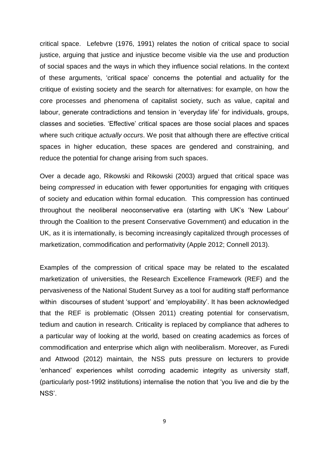critical space. Lefebvre (1976, 1991) relates the notion of critical space to social justice, arguing that justice and injustice become visible via the use and production of social spaces and the ways in which they influence social relations. In the context of these arguments, 'critical space' concerns the potential and actuality for the critique of existing society and the search for alternatives: for example, on how the core processes and phenomena of capitalist society, such as value, capital and labour, generate contradictions and tension in 'everyday life' for individuals, groups, classes and societies. 'Effective' critical spaces are those social places and spaces where such critique *actually occurs*. We posit that although there are effective critical spaces in higher education, these spaces are gendered and constraining, and reduce the potential for change arising from such spaces.

Over a decade ago, Rikowski and Rikowski (2003) argued that critical space was being *compressed* in education with fewer opportunities for engaging with critiques of society and education within formal education. This compression has continued throughout the neoliberal neoconservative era (starting with UK's 'New Labour' through the Coalition to the present Conservative Government) and education in the UK, as it is internationally, is becoming increasingly capitalized through processes of marketization, commodification and performativity (Apple 2012; Connell 2013).

Examples of the compression of critical space may be related to the escalated marketization of universities, the Research Excellence Framework (REF) and the pervasiveness of the National Student Survey as a tool for auditing staff performance within discourses of student 'support' and 'employability'. It has been acknowledged that the REF is problematic (Olssen 2011) creating potential for conservatism, tedium and caution in research. Criticality is replaced by compliance that adheres to a particular way of looking at the world, based on creating academics as forces of commodification and enterprise which align with neoliberalism. Moreover, as Furedi and Attwood (2012) maintain, the NSS puts pressure on lecturers to provide 'enhanced' experiences whilst corroding academic integrity as university staff, (particularly post-1992 institutions) internalise the notion that 'you live and die by the NSS'.

9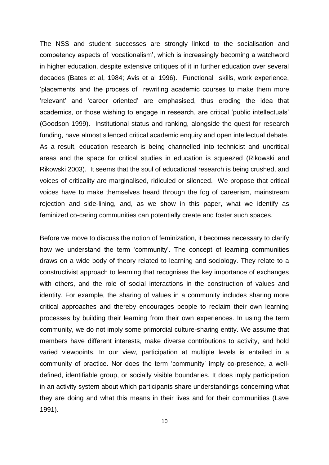The NSS and student successes are strongly linked to the socialisation and competency aspects of 'vocationalism', which is increasingly becoming a watchword in higher education, despite extensive critiques of it in further education over several decades (Bates et al, 1984; Avis et al 1996). Functional skills, work experience, 'placements' and the process of rewriting academic courses to make them more 'relevant' and 'career oriented' are emphasised, thus eroding the idea that academics, or those wishing to engage in research, are critical 'public intellectuals' (Goodson 1999). Institutional status and ranking, alongside the quest for research funding, have almost silenced critical academic enquiry and open intellectual debate. As a result, education research is being channelled into technicist and uncritical areas and the space for critical studies in education is squeezed (Rikowski and Rikowski 2003). It seems that the soul of educational research is being crushed, and voices of criticality are marginalised, ridiculed or silenced. We propose that critical voices have to make themselves heard through the fog of careerism, mainstream rejection and side-lining, and, as we show in this paper, what we identify as feminized co-caring communities can potentially create and foster such spaces.

Before we move to discuss the notion of feminization, it becomes necessary to clarify how we understand the term 'community'. The concept of learning communities draws on a wide body of theory related to learning and sociology. They relate to a constructivist approach to learning that recognises the key importance of exchanges with others, and the role of social interactions in the construction of values and identity. For example, the sharing of values in a community includes sharing more critical approaches and thereby encourages people to reclaim their own learning processes by building their learning from their own experiences. In using the term community, we do not imply some primordial culture-sharing entity. We assume that members have different interests, make diverse contributions to activity, and hold varied viewpoints. In our view, participation at multiple levels is entailed in a community of practice. Nor does the term 'community' imply co-presence, a welldefined, identifiable group, or socially visible boundaries. It does imply participation in an activity system about which participants share understandings concerning what they are doing and what this means in their lives and for their communities (Lave 1991).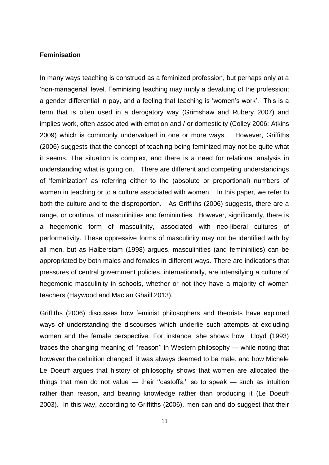#### **Feminisation**

In many ways teaching is construed as a feminized profession, but perhaps only at a 'non-managerial' level. Feminising teaching may imply a devaluing of the profession; a gender differential in pay, and a feeling that teaching is 'women's work'. This is a term that is often used in a derogatory way (Grimshaw and Rubery 2007) and implies work, often associated with emotion and / or domesticity (Colley 2006; Atkins 2009) which is commonly undervalued in one or more ways. However, Griffiths (2006) suggests that the concept of teaching being feminized may not be quite what it seems. The situation is complex, and there is a need for relational analysis in understanding what is going on. There are different and competing understandings of 'feminization' as referring either to the (absolute or proportional) numbers of women in teaching or to a culture associated with women. In this paper, we refer to both the culture and to the disproportion. As Griffiths (2006) suggests, there are a range, or continua, of masculinities and femininities. However, significantly, there is a hegemonic form of masculinity, associated with neo-liberal cultures of performativity. These oppressive forms of masculinity may not be identified with by all men, but as Halberstam (1998) argues, masculinities (and femininities) can be appropriated by both males and females in different ways. There are indications that pressures of central government policies, internationally, are intensifying a culture of hegemonic masculinity in schools, whether or not they have a majority of women teachers (Haywood and Mac an Ghaill 2013).

Griffiths (2006) discusses how feminist philosophers and theorists have explored ways of understanding the discourses which underlie such attempts at excluding women and the female perspective. For instance, she shows how Lloyd (1993) traces the changing meaning of ''reason'' in Western philosophy — while noting that however the definition changed, it was always deemed to be male, and how Michele Le Doeuff argues that history of philosophy shows that women are allocated the things that men do not value — their ''castoffs,'' so to speak — such as intuition rather than reason, and bearing knowledge rather than producing it (Le Doeuff 2003). In this way, according to Griffiths (2006), men can and do suggest that their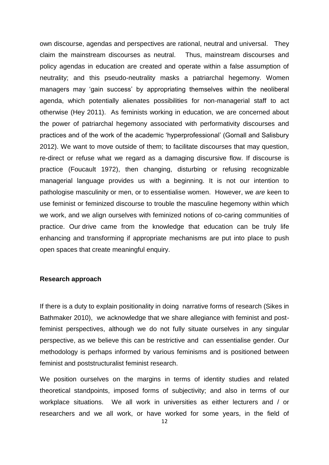own discourse, agendas and perspectives are rational, neutral and universal. They claim the mainstream discourses as neutral. Thus, mainstream discourses and policy agendas in education are created and operate within a false assumption of neutrality; and this pseudo-neutrality masks a patriarchal hegemony. Women managers may 'gain success' by appropriating themselves within the neoliberal agenda, which potentially alienates possibilities for non-managerial staff to act otherwise (Hey 2011). As feminists working in education, we are concerned about the power of patriarchal hegemony associated with performativity discourses and practices and of the work of the academic 'hyperprofessional' (Gornall and Salisbury 2012). We want to move outside of them; to facilitate discourses that may question, re-direct or refuse what we regard as a damaging discursive flow. If discourse is practice (Foucault 1972), then changing, disturbing or refusing recognizable managerial language provides us with a beginning. It is not our intention to pathologise masculinity or men, or to essentialise women. However, we *are* keen to use feminist or feminized discourse to trouble the masculine hegemony within which we work, and we align ourselves with feminized notions of co-caring communities of practice. Our drive came from the knowledge that education can be truly life enhancing and transforming if appropriate mechanisms are put into place to push open spaces that create meaningful enquiry.

#### **Research approach**

If there is a duty to explain positionality in doing narrative forms of research (Sikes in Bathmaker 2010), we acknowledge that we share allegiance with feminist and postfeminist perspectives, although we do not fully situate ourselves in any singular perspective, as we believe this can be restrictive and can essentialise gender. Our methodology is perhaps informed by various feminisms and is positioned between feminist and poststructuralist feminist research.

We position ourselves on the margins in terms of identity studies and related theoretical standpoints, imposed forms of subjectivity; and also in terms of our workplace situations. We all work in universities as either lecturers and / or researchers and we all work, or have worked for some years, in the field of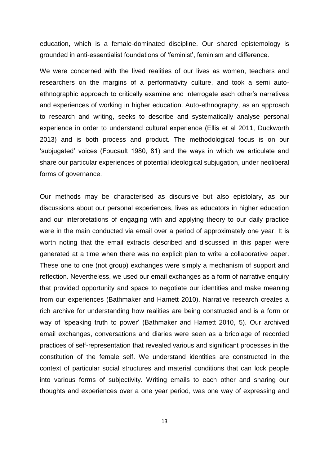education, which is a female-dominated discipline. Our shared epistemology is grounded in anti-essentialist foundations of 'feminist', feminism and difference.

We were concerned with the lived realities of our lives as women, teachers and researchers on the margins of a performativity culture, and took a semi autoethnographic approach to critically examine and interrogate each other's narratives and experiences of working in higher education. Auto-ethnography, as an approach to research and writing, seeks to describe and systematically analyse personal experience in order to understand cultural experience (Ellis et al 2011, Duckworth 2013) and is both process and product. The methodological focus is on our 'subjugated' voices (Foucault 1980, 81) and the ways in which we articulate and share our particular experiences of potential ideological subjugation, under neoliberal forms of governance.

Our methods may be characterised as discursive but also epistolary, as our discussions about our personal experiences, lives as educators in higher education and our interpretations of engaging with and applying theory to our daily practice were in the main conducted via email over a period of approximately one year. It is worth noting that the email extracts described and discussed in this paper were generated at a time when there was no explicit plan to write a collaborative paper. These one to one (not group) exchanges were simply a mechanism of support and reflection. Nevertheless, we used our email exchanges as a form of narrative enquiry that provided opportunity and space to negotiate our identities and make meaning from our experiences (Bathmaker and Harnett 2010). Narrative research creates a rich archive for understanding how realities are being constructed and is a form or way of 'speaking truth to power' (Bathmaker and Harnett 2010, 5). Our archived email exchanges, conversations and diaries were seen as a bricolage of recorded practices of self-representation that revealed various and significant processes in the constitution of the female self. We understand identities are constructed in the context of particular social structures and material conditions that can lock people into various forms of subjectivity. Writing emails to each other and sharing our thoughts and experiences over a one year period, was one way of expressing and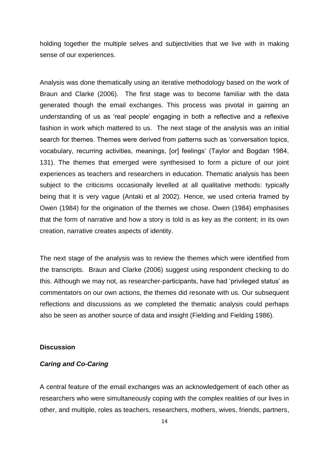holding together the multiple selves and subjectivities that we live with in making sense of our experiences.

Analysis was done thematically using an iterative methodology based on the work of Braun and Clarke (2006). The first stage was to become familiar with the data generated though the email exchanges. This process was pivotal in gaining an understanding of us as 'real people' engaging in both a reflective and a reflexive fashion in work which mattered to us. The next stage of the analysis was an initial search for themes. Themes were derived from patterns such as 'conversation topics, vocabulary, recurring activities, meanings, [or] feelings' (Taylor and Bogdan 1984, 131). The themes that emerged were synthesised to form a picture of our joint experiences as teachers and researchers in education. Thematic analysis has been subject to the criticisms occasionally levelled at all qualitative methods: typically being that it is very vague (Antaki et al 2002). Hence, we used criteria framed by Owen (1984) for the origination of the themes we chose. Owen (1984) emphasises that the form of narrative and how a story is told is as key as the content; in its own creation, narrative creates aspects of identity.

The next stage of the analysis was to review the themes which were identified from the transcripts. Braun and Clarke (2006) suggest using respondent checking to do this. Although we may not, as researcher-participants, have had 'privileged status' as commentators on our own actions, the themes did resonate with us. Our subsequent reflections and discussions as we completed the thematic analysis could perhaps also be seen as another source of data and insight (Fielding and Fielding 1986).

#### **Discussion**

#### *Caring and Co-Caring*

A central feature of the email exchanges was an acknowledgement of each other as researchers who were simultaneously coping with the complex realities of our lives in other, and multiple, roles as teachers, researchers, mothers, wives, friends, partners,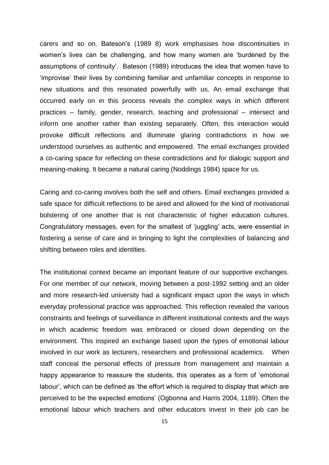carers and so on. Bateson's (1989 8) work emphasises how discontinuities in women's lives can be challenging, and how many women are 'burdened by the assumptions of continuity'. Bateson (1989) introduces the idea that women have to 'improvise' their lives by combining familiar and unfamiliar concepts in response to new situations and this resonated powerfully with us. An email exchange that occurred early on in this process reveals the complex ways in which different practices – family, gender, research, teaching and professional – intersect and inform one another rather than existing separately. Often, this interaction would provoke difficult reflections and illuminate glaring contradictions in how we understood ourselves as authentic and empowered. The email exchanges provided a co-caring space for reflecting on these contradictions and for dialogic support and meaning-making. It became a natural caring (Noddings 1984) space for us.

Caring and co-caring involves both the self and others. Email exchanges provided a safe space for difficult reflections to be aired and allowed for the kind of motivational bolstering of one another that is not characteristic of higher education cultures. Congratulatory messages, even for the smallest of 'juggling' acts, were essential in fostering a sense of care and in bringing to light the complexities of balancing and shifting between roles and identities.

The institutional context became an important feature of our supportive exchanges. For one member of our network, moving between a post-1992 setting and an older and more research-led university had a significant impact upon the ways in which everyday professional practice was approached. This reflection revealed the various constraints and feelings of surveillance in different institutional contexts and the ways in which academic freedom was embraced or closed down depending on the environment. This inspired an exchange based upon the types of emotional labour involved in our work as lecturers, researchers and professional academics. When staff conceal the personal effects of pressure from management and maintain a happy appearance to reassure the students, this operates as a form of 'emotional labour', which can be defined as 'the effort which is required to display that which are perceived to be the expected emotions' (Ogbonna and Harris 2004, 1189). Often the emotional labour which teachers and other educators invest in their job can be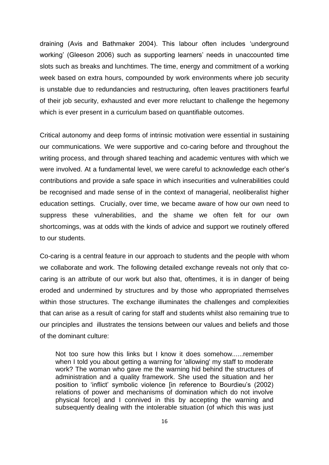draining (Avis and Bathmaker 2004). This labour often includes 'underground working' (Gleeson 2006) such as supporting learners' needs in unaccounted time slots such as breaks and lunchtimes. The time, energy and commitment of a working week based on extra hours, compounded by work environments where job security is unstable due to redundancies and restructuring, often leaves practitioners fearful of their job security, exhausted and ever more reluctant to challenge the hegemony which is ever present in a curriculum based on quantifiable outcomes.

Critical autonomy and deep forms of intrinsic motivation were essential in sustaining our communications. We were supportive and co-caring before and throughout the writing process, and through shared teaching and academic ventures with which we were involved. At a fundamental level, we were careful to acknowledge each other's contributions and provide a safe space in which insecurities and vulnerabilities could be recognised and made sense of in the context of managerial, neoliberalist higher education settings. Crucially, over time, we became aware of how our own need to suppress these vulnerabilities, and the shame we often felt for our own shortcomings, was at odds with the kinds of advice and support we routinely offered to our students.

Co-caring is a central feature in our approach to students and the people with whom we collaborate and work. The following detailed exchange reveals not only that cocaring is an attribute of our work but also that, oftentimes, it is in danger of being eroded and undermined by structures and by those who appropriated themselves within those structures. The exchange illuminates the challenges and complexities that can arise as a result of caring for staff and students whilst also remaining true to our principles and illustrates the tensions between our values and beliefs and those of the dominant culture:

Not too sure how this links but I know it does somehow......remember when I told you about getting a warning for 'allowing' my staff to moderate work? The woman who gave me the warning hid behind the structures of administration and a quality framework. She used the situation and her position to 'inflict' symbolic violence [in reference to Bourdieu's (2002) relations of power and mechanisms of domination which do not involve physical force] and I connived in this by accepting the warning and subsequently dealing with the intolerable situation (of which this was just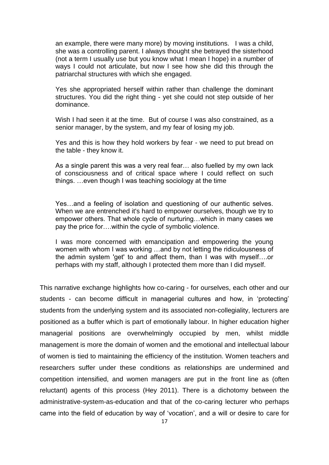an example, there were many more) by moving institutions. I was a child, she was a controlling parent. I always thought she betrayed the sisterhood (not a term I usually use but you know what I mean I hope) in a number of ways I could not articulate, but now I see how she did this through the patriarchal structures with which she engaged.

Yes she appropriated herself within rather than challenge the dominant structures. You did the right thing - yet she could not step outside of her dominance.

Wish I had seen it at the time. But of course I was also constrained, as a senior manager, by the system, and my fear of losing my job.

Yes and this is how they hold workers by fear - we need to put bread on the table - they know it.

As a single parent this was a very real fear… also fuelled by my own lack of consciousness and of critical space where I could reflect on such things. …even though I was teaching sociology at the time

Yes…and a feeling of isolation and questioning of our authentic selves. When we are entrenched it's hard to empower ourselves, though we try to empower others. That whole cycle of nurturing…which in many cases we pay the price for….within the cycle of symbolic violence.

I was more concerned with emancipation and empowering the young women with whom I was working …and by not letting the ridiculousness of the admin system 'get' to and affect them, than I was with myself….or perhaps with my staff, although I protected them more than I did myself.

This narrative exchange highlights how co-caring - for ourselves, each other and our students - can become difficult in managerial cultures and how, in 'protecting' students from the underlying system and its associated non-collegiality, lecturers are positioned as a buffer which is part of emotionally labour. In higher education higher managerial positions are overwhelmingly occupied by men, whilst middle management is more the domain of women and the emotional and intellectual labour of women is tied to maintaining the efficiency of the institution. Women teachers and researchers suffer under these conditions as relationships are undermined and competition intensified, and women managers are put in the front line as (often reluctant) agents of this process (Hey 2011). There is a dichotomy between the administrative-system-as-education and that of the co-caring lecturer who perhaps came into the field of education by way of 'vocation', and a will or desire to care for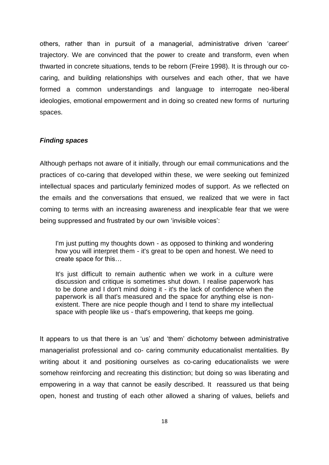others, rather than in pursuit of a managerial, administrative driven 'career' trajectory. We are convinced that the power to create and transform, even when thwarted in concrete situations, tends to be reborn (Freire 1998). It is through our cocaring, and building relationships with ourselves and each other, that we have formed a common understandings and language to interrogate neo-liberal ideologies, emotional empowerment and in doing so created new forms of nurturing spaces.

#### *Finding spaces*

Although perhaps not aware of it initially, through our email communications and the practices of co-caring that developed within these, we were seeking out feminized intellectual spaces and particularly feminized modes of support. As we reflected on the emails and the conversations that ensued, we realized that we were in fact coming to terms with an increasing awareness and inexplicable fear that we were being suppressed and frustrated by our own 'invisible voices':

I'm just putting my thoughts down - as opposed to thinking and wondering how you will interpret them - it's great to be open and honest. We need to create space for this…

It's just difficult to remain authentic when we work in a culture were discussion and critique is sometimes shut down. I realise paperwork has to be done and I don't mind doing it - it's the lack of confidence when the paperwork is all that's measured and the space for anything else is nonexistent. There are nice people though and I tend to share my intellectual space with people like us - that's empowering, that keeps me going.

It appears to us that there is an 'us' and 'them' dichotomy between administrative managerialist professional and co- caring community educationalist mentalities. By writing about it and positioning ourselves as co-caring educationalists we were somehow reinforcing and recreating this distinction; but doing so was liberating and empowering in a way that cannot be easily described. It reassured us that being open, honest and trusting of each other allowed a sharing of values, beliefs and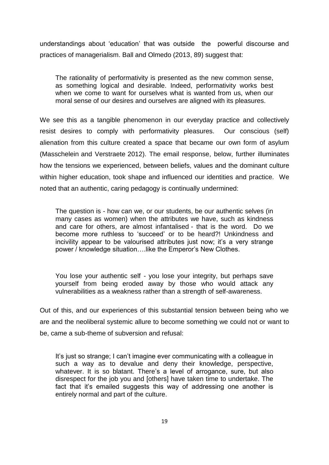understandings about 'education' that was outside the powerful discourse and practices of managerialism. Ball and Olmedo (2013, 89) suggest that:

The rationality of performativity is presented as the new common sense, as something logical and desirable. Indeed, performativity works best when we come to want for ourselves what is wanted from us, when our moral sense of our desires and ourselves are aligned with its pleasures.

We see this as a tangible phenomenon in our everyday practice and collectively resist desires to comply with performativity pleasures. Our conscious (self) alienation from this culture created a space that became our own form of asylum (Masschelein and Verstraete 2012). The email response, below, further illuminates how the tensions we experienced, between beliefs, values and the dominant culture within higher education, took shape and influenced our identities and practice. We noted that an authentic, caring pedagogy is continually undermined:

The question is - how can we, or our students, be our authentic selves (in many cases as women) when the attributes we have, such as kindness and care for others, are almost infantalised - that is the word. Do we become more ruthless to 'succeed' or to be heard?! Unkindness and incivility appear to be valourised attributes just now; it's a very strange power / knowledge situation….like the Emperor's New Clothes.

You lose your authentic self - you lose your integrity, but perhaps save yourself from being eroded away by those who would attack any vulnerabilities as a weakness rather than a strength of self-awareness.

Out of this, and our experiences of this substantial tension between being who we are and the neoliberal systemic allure to become something we could not or want to be, came a sub-theme of subversion and refusal:

It's just so strange; I can't imagine ever communicating with a colleague in such a way as to devalue and deny their knowledge, perspective, whatever. It is so blatant. There's a level of arrogance, sure, but also disrespect for the job you and [others] have taken time to undertake. The fact that it's emailed suggests this way of addressing one another is entirely normal and part of the culture.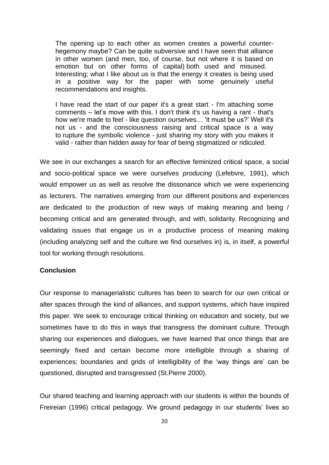The opening up to each other as women creates a powerful counterhegemony maybe? Can be quite subversive and I have seen that alliance in other women (and men, too, of course, but not where it is based on emotion but on other forms of capital) both used and misused. Interesting; what I like about us is that the energy it creates is being used in a positive way for the paper with some genuinely useful recommendations and insights.

I have read the start of our paper it's a great start - I'm attaching some comments – let's move with this. I don't think it's us having a rant - that's how we're made to feel - like question ourselves… 'it must be us?' Well it's not us - and the consciousness raising and critical space is a way to rupture the symbolic violence - just sharing my story with you makes it valid - rather than hidden away for fear of being stigmatized or ridiculed.

We see in our exchanges a search for an effective feminized critical space, a social and socio-political space we were ourselves *producing* (Lefebvre, 1991), which would empower us as well as resolve the dissonance which we were experiencing as lecturers. The narratives emerging from our different positions and experiences are dedicated to the production of new ways of making meaning and being / becoming critical and are generated through, and with, solidarity. Recognizing and validating issues that engage us in a productive process of meaning making (including analyzing self and the culture we find ourselves in) is, in itself, a powerful tool for working through resolutions.

#### **Conclusion**

Our response to managerialistic cultures has been to search for our own critical or alter spaces through the kind of alliances, and support systems, which have inspired this paper. We seek to encourage critical thinking on education and society, but we sometimes have to do this in ways that transgress the dominant culture. Through sharing our experiences and dialogues, we have learned that once things that are seemingly fixed and certain become more intelligible through a sharing of experiences; boundaries and grids of intelligibility of the 'way things are' can be questioned, disrupted and transgressed (St.Pierre 2000).

Our shared teaching and learning approach with our students is within the bounds of Freireian (1996) critical pedagogy. We ground pedagogy in our students' lives so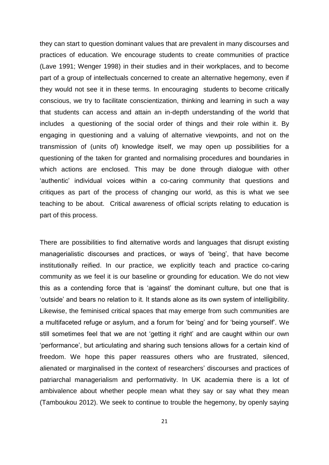they can start to question dominant values that are prevalent in many discourses and practices of education. We encourage students to create communities of practice (Lave 1991; Wenger 1998) in their studies and in their workplaces, and to become part of a group of intellectuals concerned to create an alternative hegemony, even if they would not see it in these terms. In encouraging students to become critically conscious, we try to facilitate conscientization, thinking and learning in such a way that students can access and attain an in-depth understanding of the world that includes a questioning of the social order of things and their role within it. By engaging in questioning and a valuing of alternative viewpoints, and not on the transmission of (units of) knowledge itself, we may open up possibilities for a questioning of the taken for granted and normalising procedures and boundaries in which actions are enclosed. This may be done through dialogue with other 'authentic' individual voices within a co-caring community that questions and critiques as part of the process of changing our world, as this is what we see teaching to be about. Critical awareness of official scripts relating to education is part of this process.

There are possibilities to find alternative words and languages that disrupt existing managerialistic discourses and practices, or ways of 'being', that have become institutionally reified. In our practice, we explicitly teach and practice co-caring community as we feel it is our baseline or grounding for education. We do not view this as a contending force that is 'against' the dominant culture, but one that is 'outside' and bears no relation to it. It stands alone as its own system of intelligibility. Likewise, the feminised critical spaces that may emerge from such communities are a multifaceted refuge or asylum, and a forum for 'being' and for 'being yourself'. We still sometimes feel that we are not 'getting it right' and are caught within our own 'performance', but articulating and sharing such tensions allows for a certain kind of freedom. We hope this paper reassures others who are frustrated, silenced, alienated or marginalised in the context of researchers' discourses and practices of patriarchal managerialism and performativity. In UK academia there is a lot of ambivalence about whether people mean what they say or say what they mean (Tamboukou 2012). We seek to continue to trouble the hegemony, by openly saying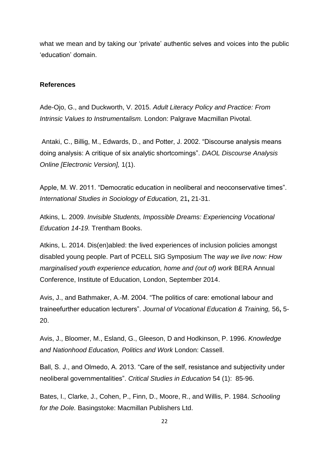what we mean and by taking our 'private' authentic selves and voices into the public 'education' domain.

#### **References**

Ade-Ojo, G., and Duckworth, V. 2015. *Adult Literacy Policy and Practice: From Intrinsic Values to Instrumentalism.* London: Palgrave Macmillan Pivotal.

Antaki, C., Billig, M., Edwards, D., and Potter, J. 2002. "Discourse analysis means doing analysis: A critique of six analytic shortcomings". *DAOL Discourse Analysis Online [Electronic Version],* 1(1).

Apple, M. W. 2011. "Democratic education in neoliberal and neoconservative times". *International Studies in Sociology of Education,* 21**,** 21-31.

Atkins, L. 2009. *Invisible Students, Impossible Dreams: Experiencing Vocational Education 14-19.* Trentham Books.

Atkins, L. 2014. Dis(en)abled: the lived experiences of inclusion policies amongst disabled young people. Part of PCELL SIG Symposium The *way we live now: How marginalised youth experience education, home and (out of) work BERA Annual* Conference, Institute of Education, London, September 2014.

Avis, J., and Bathmaker, A.-M. 2004. "The politics of care: emotional labour and traineefurther education lecturers". *Journal of Vocational Education & Training,* 56**,** 5- 20.

Avis, J., Bloomer, M., Esland, G., Gleeson, D and Hodkinson, P. 1996. *Knowledge and Nationhood Education, Politics and Work* London: Cassell.

Ball, S. J., and Olmedo, A. 2013. "Care of the self, resistance and subjectivity under neoliberal governmentalities". *Critical Studies in Education* 54 (1): 85-96.

Bates, I., Clarke, J., Cohen, P., Finn, D., Moore, R., and Willis, P. 1984. *Schooling for the Dole.* Basingstoke: Macmillan Publishers Ltd.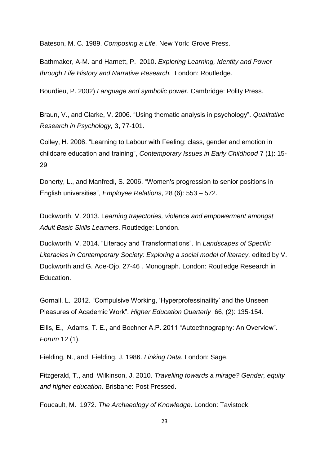Bateson, M. C. 1989. *Composing a Life.* New York: Grove Press.

Bathmaker, A-M. and Harnett, P. 2010. *Exploring Learning, Identity and Power through Life History and Narrative Research.* London: Routledge.

Bourdieu, P. 2002) *Language and symbolic power.* Cambridge: Polity Press.

Braun, V., and Clarke, V. 2006. "Using thematic analysis in psychology". *Qualitative Research in Psychology,* 3**,** 77-101.

Colley, H. 2006. "Learning to Labour with Feeling: class, gender and emotion in childcare education and training", *Contemporary Issues in Early Childhood* 7 (1): 15- 29

Doherty, L., and Manfredi, S. 2006. "Women's progression to senior positions in English universities", *Employee Relations*, 28 (6): 553 – 572.

Duckworth, V. 2013. L*earning trajectories, violence and empowerment amongst Adult Basic Skills Learners*. Routledge: London.

Duckworth, V. 2014. "Literacy and Transformations". In *Landscapes of Specific*  Literacies in Contemporary Society: Exploring a social model of literacy, edited by V. Duckworth and G. Ade-Ojo, 27-46 *.* Monograph. London: Routledge Research in Education.

Gornall, L. 2012. "Compulsive Working, 'Hyperprofessinaility' and the Unseen Pleasures of Academic Work". *Higher Education Quarterly* 66, (2): 135-154.

Ellis, E., Adams, T. E., and Bochner A.P. 2011 "Autoethnography: An Overview". *Forum* 12 (1).

Fielding, N., and Fielding, J. 1986. *Linking Data.* London: Sage.

Fitzgerald, T., and Wilkinson, J. 2010. *Travelling towards a mirage? Gender, equity and higher education.* Brisbane: Post Pressed.

Foucault, M. 1972. *The Archaeology of Knowledge*. London: Tavistock.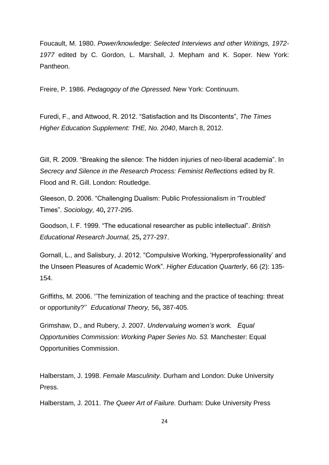Foucault, M. 1980. *Power/knowledge: Selected Interviews and other Writings, 1972- 1977* edited by C. Gordon, L. Marshall, J. Mepham and K. Soper. New York: Pantheon.

Freire, P. 1986. *Pedagogoy of the Opressed.* New York: Continuum.

Furedi, F., and Attwood, R. 2012. "Satisfaction and Its Discontents", *The Times Higher Education Supplement: THE, No. 2040*, March 8, 2012.

Gill, R. 2009. "Breaking the silence: The hidden injuries of neo-liberal academia". In *Secrecy and Silence in the Research Process: Feminist Reflections* edited by R. Flood and R. Gill. London: Routledge.

Gleeson, D. 2006. "Challenging Dualism: Public Professionalism in 'Troubled' Times". *Sociology,* 40**,** 277-295.

Goodson, I. F. 1999. "The educational researcher as public intellectual". *British Educational Research Journal,* 25**,** 277-297.

Gornall, L., and Salisbury, J. 2012. "Compulsive Working, 'Hyperprofessionality' and the Unseen Pleasures of Academic Work". *Higher Education Quarterly*, 66 (2): 135- 154.

Griffiths, M. 2006. ''The feminization of teaching and the practice of teaching: threat or opportunity?'' *Educational Theory,* 56**,** 387-405.

Grimshaw, D., and Rubery, J. 2007. *Undervaluing women's work. Equal Opportunities Commission: Working Paper Series No. 53.* Manchester: Equal Opportunities Commission.

Halberstam, J. 1998. *Female Masculinity.* Durham and London: Duke University Press.

Halberstam, J. 2011. *The Queer Art of Failure.* Durham: Duke University Press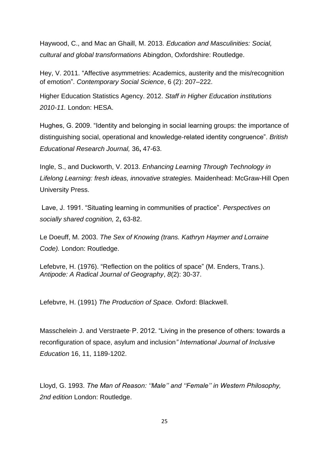Haywood, C., and Mac an Ghaill, M. 2013. *Education and Masculinities: Social, cultural and global transformations* Abingdon, Oxfordshire: Routledge.

Hey, V. 2011. "Affective asymmetries: Academics, austerity and the mis/recognition of emotion". *Contemporary Social Science*, 6 (2): 207–222.

Higher Education Statistics Agency. 2012. *Staff in Higher Education institutions 2010-11.* London: HESA.

Hughes, G. 2009. "Identity and belonging in social learning groups: the importance of distinguishing social, operational and knowledge‐related identity congruence". *British Educational Research Journal,* 36**,** 47-63.

Ingle, S., and Duckworth, V. 2013. *Enhancing Learning Through Technology in Lifelong Learning: fresh ideas, innovative strategies.* Maidenhead: McGraw-Hill Open University Press.

Lave, J. 1991. "Situating learning in communities of practice". *Perspectives on socially shared cognition,* 2**,** 63-82.

Le Doeuff, M. 2003. *The Sex of Knowing (trans. Kathryn Haymer and Lorraine Code).* London: Routledge.

Lefebvre, H. (1976). "Reflection on the politics of space" (M. Enders, Trans.). *Antipode: A Radical Journal of Geography*, *8*(2): 30-37.

Lefebvre, H. (1991) *The Production of Space.* Oxford: Blackwell.

Masschelein<sup>,</sup> J. and Verstraete<sup>,</sup> P. 2012. "Living in the presence of others: towards a reconfiguration of space, asylum and inclusion*" International Journal of Inclusive Education* 16, 11, 1189-1202.

Lloyd, G. 1993. *The Man of Reason: ''Male'' and ''Female'' in Western Philosophy, 2nd edition* London: Routledge.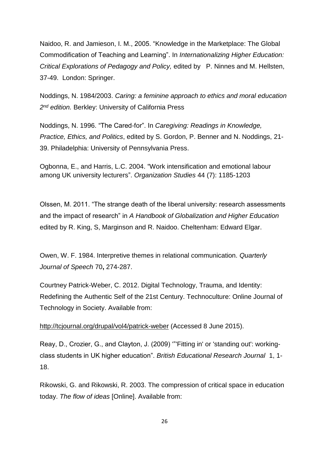[Naidoo, R.](http://opus.bath.ac.uk/view/person_id/953.html) and [Jamieson, I. M.,](http://opus.bath.ac.uk/view/person_id/59.html) 2005. "Knowledge in the Marketplace: The Global Commodification of Teaching and Learning". In *Internationalizing Higher Education: Critical Explorations of Pedagogy and Policy,* edited byP. Ninnes and M. Hellsten, 37-49. London: Springer.

Noddings, N. 1984/2003. *Caring: a feminine approach to ethics and moral education 2 nd edition.* Berkley: University of California Press

Noddings, N. 1996. "The Cared-for". In *Caregiving: Readings in Knowledge, Practice, Ethics, and Politics*, edited by S. Gordon, P. Benner and N. Noddings, 21- 39. Philadelphia: University of Pennsylvania Press.

Ogbonna, E., and Harris, L.C. 2004. "Work intensification and emotional labour among UK university lecturers". *Organization Studies* 44 (7): 1185-1203

Olssen, M. 2011. "The strange death of the liberal university: research assessments and the impact of research" in *A Handbook of Globalization and Higher Education* edited by R. King, S, Marginson and R. Naidoo. Cheltenham: Edward Elgar.

Owen, W. F. 1984. Interpretive themes in relational communication. *Quarterly Journal of Speech* 70**,** 274-287.

Courtney Patrick-Weber, C. 2012. Digital Technology, Trauma, and Identity: Redefining the Authentic Self of the 21st Century. Technoculture: Online Journal of Technology in Society. Available from:

<http://tcjournal.org/drupal/vol4/patrick-weber> (Accessed 8 June 2015).

Reay, D., Crozier, G., and Clayton, J. (2009) '"'Fitting in' or 'standing out': workingclass students in UK higher education". *British Educational Research Journal* 1, 1- 18.

Rikowski, G. and Rikowski, R. 2003. The compression of critical space in education today. *The flow of ideas* [Online]. Available from: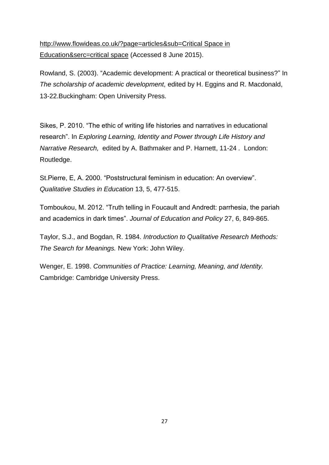http://www.flowideas.co.uk/?page=articles&sub=Critical Space in [Education&serc=critical space](http://www.flowideas.co.uk/?page=articles&sub=Critical%20Space%20in%20Education&serc=critical%20space) (Accessed 8 June 2015).

Rowland, S. (2003). "Academic development: A practical or theoretical business?" In *The scholarship of academic development,* edited by H. Eggins and R. Macdonald, 13-22.Buckingham: Open University Press.

Sikes, P. 2010. "The ethic of writing life histories and narratives in educational research". In *Exploring Learning, Identity and Power through Life History and Narrative Research,* edited by A. Bathmaker and P. Harnett, 11-24 *.* London: Routledge.

St.Pierre, E, A. 2000. "Poststructural feminism in education: An overview". *Qualitative Studies in Education* 13, 5, 477-515.

Tomboukou, M. 2012. "Truth telling in Foucault and Andredt: parrhesia, the pariah and academics in dark times". *Journal of Education and Policy* 27, 6, 849-865.

Taylor, S.J., and Bogdan, R. 1984. *Introduction to Qualitative Research Methods: The Search for Meanings.* New York: John Wiley.

Wenger, E. 1998. *Communities of Practice: Learning, Meaning, and Identity.*  Cambridge: Cambridge University Press.